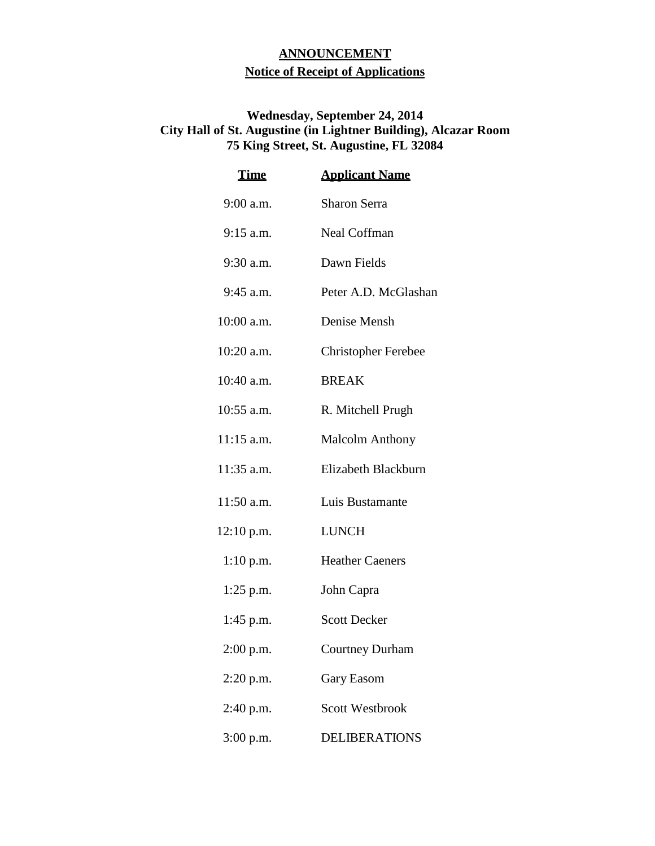## **ANNOUNCEMENT Notice of Receipt of Applications**

## **Wednesday, September 24, 2014 City Hall of St. Augustine (in Lightner Building), Alcazar Room 75 King Street, St. Augustine, FL 32084**

| <u>Time</u>  | <b>Applicant Name</b>      |
|--------------|----------------------------|
| 9:00 a.m.    | Sharon Serra               |
| $9:15$ a.m.  | <b>Neal Coffman</b>        |
| 9:30 a.m.    | Dawn Fields                |
| 9:45 a.m.    | Peter A.D. McGlashan       |
| 10:00 a.m.   | Denise Mensh               |
| 10:20 a.m.   | <b>Christopher Ferebee</b> |
| 10:40 a.m.   | <b>BREAK</b>               |
| 10:55 a.m.   | R. Mitchell Prugh          |
| 11:15 a.m.   | <b>Malcolm Anthony</b>     |
| 11:35 a.m.   | Elizabeth Blackburn        |
| 11:50 a.m.   | Luis Bustamante            |
| $12:10$ p.m. | <b>LUNCH</b>               |
| $1:10$ p.m.  | <b>Heather Caeners</b>     |
| $1:25$ p.m.  | John Capra                 |
| $1:45$ p.m.  | <b>Scott Decker</b>        |
| $2:00$ p.m.  | <b>Courtney Durham</b>     |
| $2:20$ p.m.  | Gary Easom                 |
| 2:40 p.m.    | <b>Scott Westbrook</b>     |
| 3:00 p.m.    | <b>DELIBERATIONS</b>       |